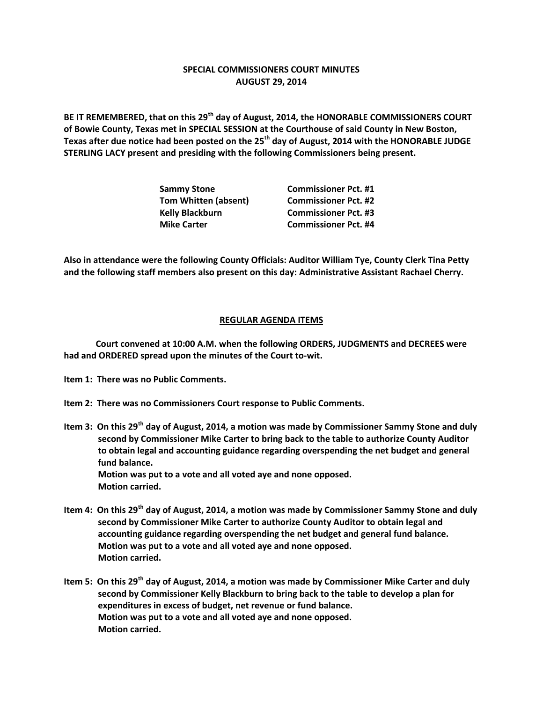## **SPECIAL COMMISSIONERS COURT MINUTES AUGUST 29, 2014**

**BE IT REMEMBERED, that on this 29th day of August, 2014, the HONORABLE COMMISSIONERS COURT of Bowie County, Texas met in SPECIAL SESSION at the Courthouse of said County in New Boston, Texas after due notice had been posted on the 25th day of August, 2014 with the HONORABLE JUDGE STERLING LACY present and presiding with the following Commissioners being present.**

| <b>Commissioner Pct. #1</b> |
|-----------------------------|
| <b>Commissioner Pct. #2</b> |
| <b>Commissioner Pct. #3</b> |
| <b>Commissioner Pct. #4</b> |
|                             |

**Also in attendance were the following County Officials: Auditor William Tye, County Clerk Tina Petty and the following staff members also present on this day: Administrative Assistant Rachael Cherry.**

## **REGULAR AGENDA ITEMS**

**Court convened at 10:00 A.M. when the following ORDERS, JUDGMENTS and DECREES were had and ORDERED spread upon the minutes of the Court to-wit.**

- **Item 1: There was no Public Comments.**
- **Item 2: There was no Commissioners Court response to Public Comments.**
- **Item 3: On this 29th day of August, 2014, a motion was made by Commissioner Sammy Stone and duly second by Commissioner Mike Carter to bring back to the table to authorize County Auditor to obtain legal and accounting guidance regarding overspending the net budget and general fund balance. Motion was put to a vote and all voted aye and none opposed. Motion carried.**
- **Item 4: On this 29th day of August, 2014, a motion was made by Commissioner Sammy Stone and duly second by Commissioner Mike Carter to authorize County Auditor to obtain legal and accounting guidance regarding overspending the net budget and general fund balance. Motion was put to a vote and all voted aye and none opposed. Motion carried.**
- **Item 5: On this 29th day of August, 2014, a motion was made by Commissioner Mike Carter and duly second by Commissioner Kelly Blackburn to bring back to the table to develop a plan for expenditures in excess of budget, net revenue or fund balance. Motion was put to a vote and all voted aye and none opposed. Motion carried.**